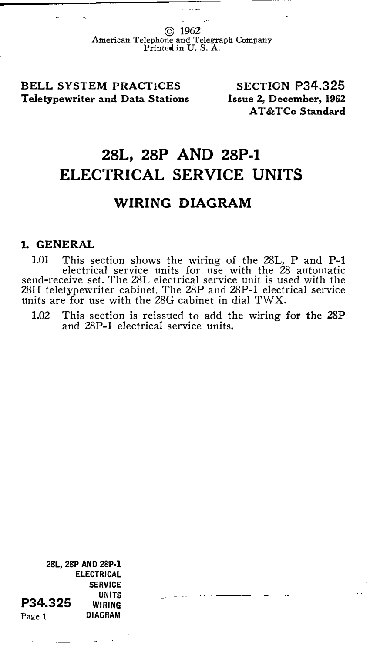© 1962 American Telephone and Telegraph Company Printed in U. S. A.

BELL SYSTEM PRACTICES Teletypewriter and Data Stations

SECTION P34.325 Issue 2, December, 1962 AT&TCo Standard

## 28L, 28P AND 28P-1 ELECTRICAL SERVICE UNITS

## WIRING DIAGRAM

## 1. GENERAL

1.01 This section shows the wiring of the 28L, P and P-1 electrical service units for use with the 28 automatic send-receive set. The 28L electrical service unit is used with the ZSH teletypewriter cabinet. The 28P and 28P-1 electrical service units are for use with the 28G cabinet in dial TWX.

1.02 This section is reissued to add the wiring for the 28P and 28P-1 electrical service units.

2BL, 2BP AND 28P·l ELECTRICAL SERVICE UNITS<br>WIRING WIRING Page 1 DIAGRAM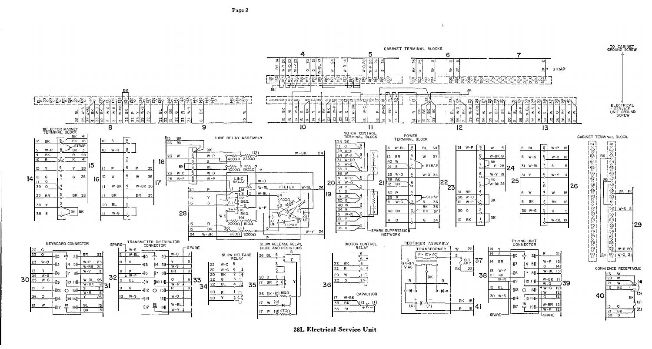

28L Electrical Service Unit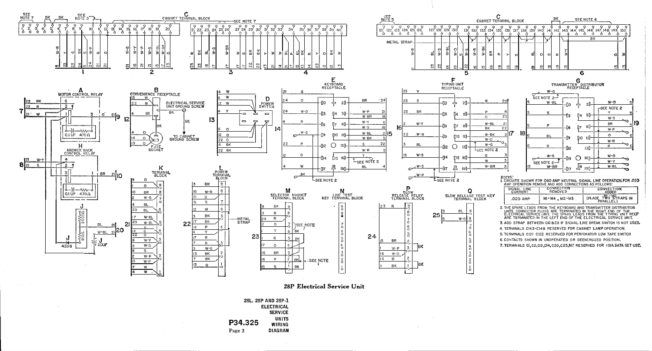

28P Electrical Service Unit

|         | 28L, 28P AND 28P-1 |
|---------|--------------------|
|         | <b>ELECTRICAL</b>  |
|         | <b>SERVICE</b>     |
|         | UNITS              |
| P34.325 | WIRING             |
| Page 3  | <b>DIAGRAM</b>     |